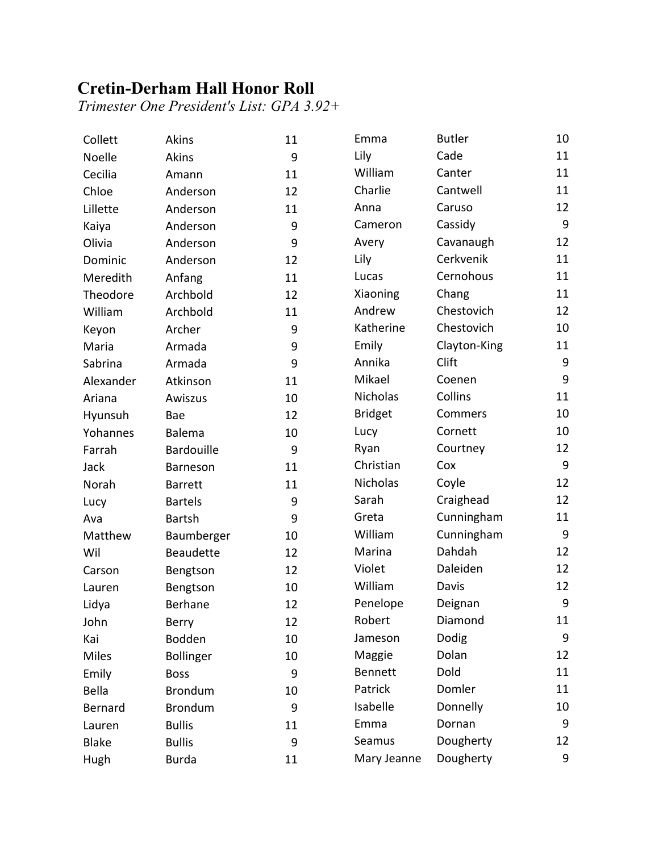## **Cretin-Derham Hall Honor Roll**

*Trimester One President's List: GPA 3.92+*

| Collett      | Akins            | 11 | Emma           | <b>Butler</b> | 10               |
|--------------|------------------|----|----------------|---------------|------------------|
| Noelle       | <b>Akins</b>     | 9  | Lily           | Cade          | 11               |
| Cecilia      | Amann            | 11 | William        | Canter        | 11               |
| Chloe        | Anderson         | 12 | Charlie        | Cantwell      | 11               |
| Lillette     | Anderson         | 11 | Anna           | Caruso        | 12               |
| Kaiya        | Anderson         | 9  | Cameron        | Cassidy       | $9\,$            |
| Olivia       | Anderson         | 9  | Avery          | Cavanaugh     | 12               |
| Dominic      | Anderson         | 12 | Lily           | Cerkvenik     | 11               |
| Meredith     | Anfang           | 11 | Lucas          | Cernohous     | 11               |
| Theodore     | Archbold         | 12 | Xiaoning       | Chang         | 11               |
| William      | Archbold         | 11 | Andrew         | Chestovich    | 12               |
| Keyon        | Archer           | 9  | Katherine      | Chestovich    | 10               |
| Maria        | Armada           | 9  | Emily          | Clayton-King  | 11               |
| Sabrina      | Armada           | 9  | Annika         | Clift         | $\boldsymbol{9}$ |
| Alexander    | Atkinson         | 11 | Mikael         | Coenen        | 9                |
| Ariana       | Awiszus          | 10 | Nicholas       | Collins       | 11               |
| Hyunsuh      | Bae              | 12 | <b>Bridget</b> | Commers       | 10               |
| Yohannes     | Balema           | 10 | Lucy           | Cornett       | 10               |
| Farrah       | Bardouille       | 9  | Ryan           | Courtney      | 12               |
| Jack         | Barneson         | 11 | Christian      | Cox           | $\boldsymbol{9}$ |
| Norah        | <b>Barrett</b>   | 11 | Nicholas       | Coyle         | 12               |
| Lucy         | <b>Bartels</b>   | 9  | Sarah          | Craighead     | 12               |
| Ava          | <b>Bartsh</b>    | 9  | Greta          | Cunningham    | 11               |
| Matthew      | Baumberger       | 10 | William        | Cunningham    | 9                |
| Wil          | <b>Beaudette</b> | 12 | Marina         | Dahdah        | 12               |
| Carson       | Bengtson         | 12 | Violet         | Daleiden      | 12               |
| Lauren       | Bengtson         | 10 | William        | Davis         | 12               |
| Lidya        | <b>Berhane</b>   | 12 | Penelope       | Deignan       | $\boldsymbol{9}$ |
| John         | Berry            | 12 | Robert         | Diamond       | 11               |
| Kai          | Bodden           | 10 | Jameson        | Dodig         | 9                |
| <b>Miles</b> | <b>Bollinger</b> | 10 | Maggie         | Dolan         | 12               |
| Emily        | <b>Boss</b>      | 9  | Bennett        | Dold          | 11               |
| <b>Bella</b> | <b>Brondum</b>   | 10 | Patrick        | Domler        | 11               |
| Bernard      | <b>Brondum</b>   | 9  | Isabelle       | Donnelly      | 10               |
| Lauren       | <b>Bullis</b>    | 11 | Emma           | Dornan        | 9                |
| <b>Blake</b> | <b>Bullis</b>    | 9  | Seamus         | Dougherty     | 12               |
| Hugh         | <b>Burda</b>     | 11 | Mary Jeanne    | Dougherty     | 9                |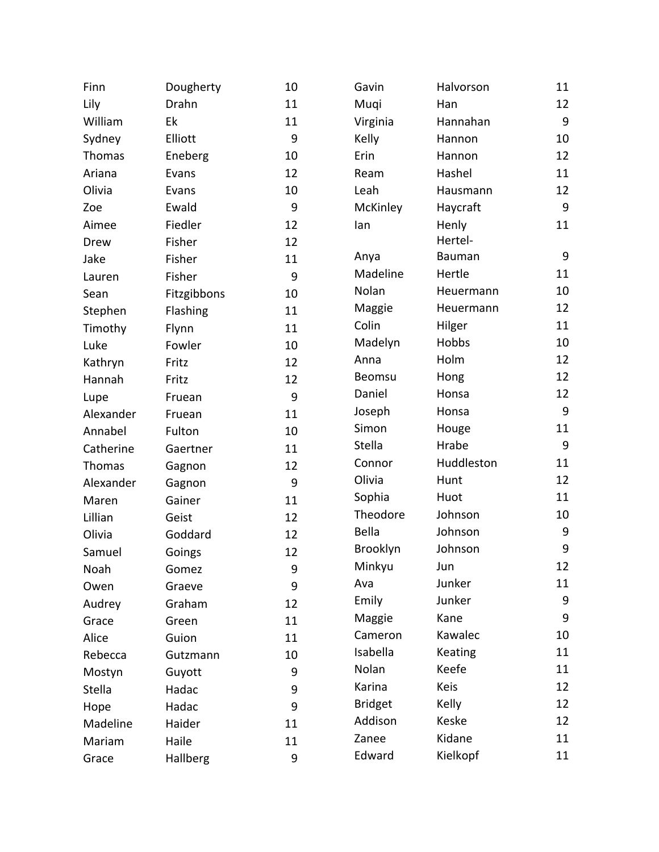| Finn      | Dougherty   | 10 | Gavin          | Halvorson  | 11               |
|-----------|-------------|----|----------------|------------|------------------|
| Lily      | Drahn       | 11 | Muqi           | Han        | 12               |
| William   | Ek          | 11 | Virginia       | Hannahan   | 9                |
| Sydney    | Elliott     | 9  | Kelly          | Hannon     | 10               |
| Thomas    | Eneberg     | 10 | Erin           | Hannon     | 12               |
| Ariana    | Evans       | 12 | Ream           | Hashel     | 11               |
| Olivia    | Evans       | 10 | Leah           | Hausmann   | 12               |
| Zoe       | Ewald       | 9  | McKinley       | Haycraft   | 9                |
| Aimee     | Fiedler     | 12 | lan            | Henly      | 11               |
| Drew      | Fisher      | 12 |                | Hertel-    |                  |
| Jake      | Fisher      | 11 | Anya           | Bauman     | 9                |
| Lauren    | Fisher      | 9  | Madeline       | Hertle     | 11               |
| Sean      | Fitzgibbons | 10 | Nolan          | Heuermann  | 10               |
| Stephen   | Flashing    | 11 | Maggie         | Heuermann  | 12               |
| Timothy   | Flynn       | 11 | Colin          | Hilger     | 11               |
| Luke      | Fowler      | 10 | Madelyn        | Hobbs      | 10               |
| Kathryn   | Fritz       | 12 | Anna           | Holm       | 12               |
| Hannah    | Fritz       | 12 | Beomsu         | Hong       | 12               |
| Lupe      | Fruean      | 9  | Daniel         | Honsa      | 12               |
| Alexander | Fruean      | 11 | Joseph         | Honsa      | 9                |
| Annabel   | Fulton      | 10 | Simon          | Houge      | 11               |
| Catherine | Gaertner    | 11 | Stella         | Hrabe      | 9                |
| Thomas    | Gagnon      | 12 | Connor         | Huddleston | 11               |
| Alexander | Gagnon      | 9  | Olivia         | Hunt       | 12               |
| Maren     | Gainer      | 11 | Sophia         | Huot       | 11               |
| Lillian   | Geist       | 12 | Theodore       | Johnson    | 10               |
| Olivia    | Goddard     | 12 | Bella          | Johnson    | $\boldsymbol{9}$ |
| Samuel    | Goings      | 12 | Brooklyn       | Johnson    | 9                |
| Noah      | Gomez       | 9  | Minkyu         | Jun        | 12               |
| Owen      | Graeve      | 9  | Ava            | Junker     | 11               |
| Audrey    | Graham      | 12 | Emily          | Junker     | 9                |
| Grace     | Green       | 11 | Maggie         | Kane       | 9                |
| Alice     | Guion       | 11 | Cameron        | Kawalec    | 10               |
| Rebecca   | Gutzmann    | 10 | Isabella       | Keating    | 11               |
| Mostyn    | Guyott      | 9  | Nolan          | Keefe      | 11               |
| Stella    | Hadac       | 9  | Karina         | Keis       | 12               |
| Hope      | Hadac       | 9  | <b>Bridget</b> | Kelly      | 12               |
| Madeline  | Haider      | 11 | Addison        | Keske      | 12               |
| Mariam    | Haile       | 11 | Zanee          | Kidane     | 11               |
| Grace     | Hallberg    | 9  | Edward         | Kielkopf   | 11               |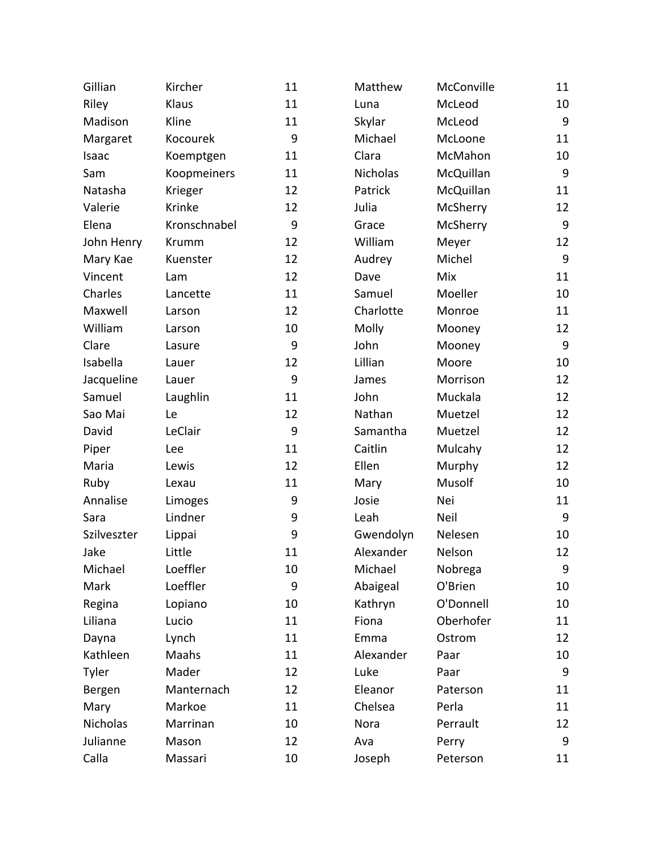| Gillian     | Kircher      | 11 | Matthew   | McConville | 11               |
|-------------|--------------|----|-----------|------------|------------------|
| Riley       | Klaus        | 11 | Luna      | McLeod     | 10               |
| Madison     | Kline        | 11 | Skylar    | McLeod     | $\boldsymbol{9}$ |
| Margaret    | Kocourek     | 9  | Michael   | McLoone    | 11               |
| Isaac       | Koemptgen    | 11 | Clara     | McMahon    | 10               |
| Sam         | Koopmeiners  | 11 | Nicholas  | McQuillan  | $\boldsymbol{9}$ |
| Natasha     | Krieger      | 12 | Patrick   | McQuillan  | 11               |
| Valerie     | Krinke       | 12 | Julia     | McSherry   | 12               |
| Elena       | Kronschnabel | 9  | Grace     | McSherry   | $\boldsymbol{9}$ |
| John Henry  | Krumm        | 12 | William   | Meyer      | 12               |
| Mary Kae    | Kuenster     | 12 | Audrey    | Michel     | $\boldsymbol{9}$ |
| Vincent     | Lam          | 12 | Dave      | Mix        | 11               |
| Charles     | Lancette     | 11 | Samuel    | Moeller    | 10               |
| Maxwell     | Larson       | 12 | Charlotte | Monroe     | 11               |
| William     | Larson       | 10 | Molly     | Mooney     | 12               |
| Clare       | Lasure       | 9  | John      | Mooney     | $9\,$            |
| Isabella    | Lauer        | 12 | Lillian   | Moore      | 10               |
| Jacqueline  | Lauer        | 9  | James     | Morrison   | 12               |
| Samuel      | Laughlin     | 11 | John      | Muckala    | 12               |
| Sao Mai     | Le           | 12 | Nathan    | Muetzel    | 12               |
| David       | LeClair      | 9  | Samantha  | Muetzel    | 12               |
| Piper       | Lee          | 11 | Caitlin   | Mulcahy    | 12               |
| Maria       | Lewis        | 12 | Ellen     | Murphy     | 12               |
| Ruby        | Lexau        | 11 | Mary      | Musolf     | 10               |
| Annalise    | Limoges      | 9  | Josie     | Nei        | 11               |
| Sara        | Lindner      | 9  | Leah      | Neil       | $\boldsymbol{9}$ |
| Szilveszter | Lippai       | 9  | Gwendolyn | Nelesen    | 10               |
| Jake        | Little       | 11 | Alexander | Nelson     | 12               |
| Michael     | Loeffler     | 10 | Michael   | Nobrega    | 9                |
| Mark        | Loeffler     | 9  | Abaigeal  | O'Brien    | 10               |
| Regina      | Lopiano      | 10 | Kathryn   | O'Donnell  | 10               |
| Liliana     | Lucio        | 11 | Fiona     | Oberhofer  | 11               |
| Dayna       | Lynch        | 11 | Emma      | Ostrom     | 12               |
| Kathleen    | Maahs        | 11 | Alexander | Paar       | 10               |
| Tyler       | Mader        | 12 | Luke      | Paar       | 9                |
| Bergen      | Manternach   | 12 | Eleanor   | Paterson   | 11               |
| Mary        | Markoe       | 11 | Chelsea   | Perla      | 11               |
| Nicholas    | Marrinan     | 10 | Nora      | Perrault   | 12               |
| Julianne    | Mason        | 12 | Ava       | Perry      | 9                |
| Calla       | Massari      | 10 | Joseph    | Peterson   | 11               |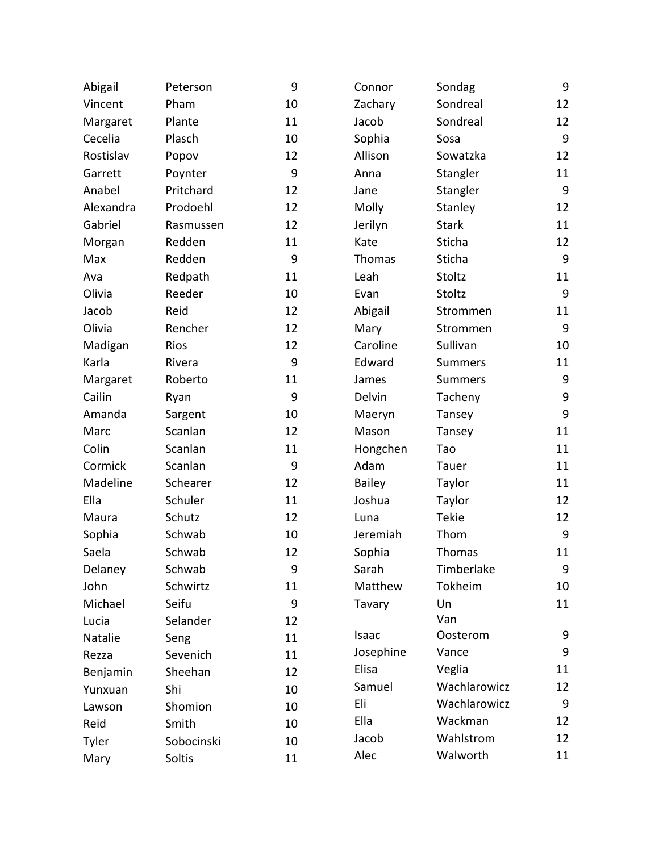| Abigail   | Peterson   | 9  | Connor        | Sondag         | 9                |
|-----------|------------|----|---------------|----------------|------------------|
| Vincent   | Pham       | 10 | Zachary       | Sondreal       | 12               |
| Margaret  | Plante     | 11 | Jacob         | Sondreal       | 12               |
| Cecelia   | Plasch     | 10 | Sophia        | Sosa           | 9                |
| Rostislav | Popov      | 12 | Allison       | Sowatzka       | 12               |
| Garrett   | Poynter    | 9  | Anna          | Stangler       | 11               |
| Anabel    | Pritchard  | 12 | Jane          | Stangler       | 9                |
| Alexandra | Prodoehl   | 12 | Molly         | Stanley        | 12               |
| Gabriel   | Rasmussen  | 12 | Jerilyn       | <b>Stark</b>   | 11               |
| Morgan    | Redden     | 11 | Kate          | Sticha         | 12               |
| Max       | Redden     | 9  | Thomas        | Sticha         | $\boldsymbol{9}$ |
| Ava       | Redpath    | 11 | Leah          | Stoltz         | 11               |
| Olivia    | Reeder     | 10 | Evan          | Stoltz         | 9                |
| Jacob     | Reid       | 12 | Abigail       | Strommen       | 11               |
| Olivia    | Rencher    | 12 | Mary          | Strommen       | $\boldsymbol{9}$ |
| Madigan   | Rios       | 12 | Caroline      | Sullivan       | 10               |
| Karla     | Rivera     | 9  | Edward        | <b>Summers</b> | 11               |
| Margaret  | Roberto    | 11 | James         | <b>Summers</b> | $\boldsymbol{9}$ |
| Cailin    | Ryan       | 9  | Delvin        | Tacheny        | $\boldsymbol{9}$ |
| Amanda    | Sargent    | 10 | Maeryn        | Tansey         | 9                |
| Marc      | Scanlan    | 12 | Mason         | Tansey         | 11               |
| Colin     | Scanlan    | 11 | Hongchen      | Tao            | 11               |
| Cormick   | Scanlan    | 9  | Adam          | Tauer          | 11               |
| Madeline  | Schearer   | 12 | <b>Bailey</b> | Taylor         | 11               |
| Ella      | Schuler    | 11 | Joshua        | Taylor         | 12               |
| Maura     | Schutz     | 12 | Luna          | <b>Tekie</b>   | 12               |
| Sophia    | Schwab     | 10 | Jeremiah      | Thom           | $\boldsymbol{9}$ |
| Saela     | Schwab     | 12 | Sophia        | Thomas         | 11               |
| Delaney   | Schwab     | 9  | Sarah         | Timberlake     | 9                |
| John      | Schwirtz   | 11 | Matthew       | Tokheim        | 10               |
| Michael   | Seifu      | 9  | Tavary        | Un             | 11               |
| Lucia     | Selander   | 12 |               | Van            |                  |
| Natalie   | Seng       | 11 | Isaac         | Oosterom       | 9                |
| Rezza     | Sevenich   | 11 | Josephine     | Vance          | 9                |
| Benjamin  | Sheehan    | 12 | Elisa         | Veglia         | 11               |
| Yunxuan   | Shi        | 10 | Samuel        | Wachlarowicz   | 12               |
| Lawson    | Shomion    | 10 | Eli           | Wachlarowicz   | $9\,$            |
| Reid      | Smith      | 10 | Ella          | Wackman        | 12               |
| Tyler     | Sobocinski | 10 | Jacob         | Wahlstrom      | 12               |
| Mary      | Soltis     | 11 | Alec          | Walworth       | 11               |